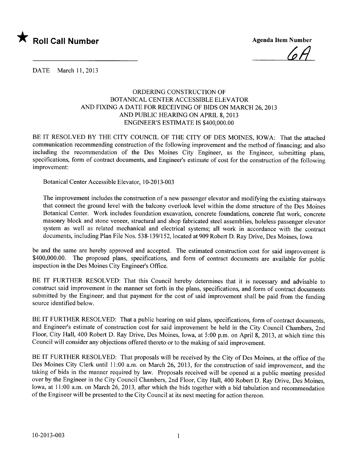

 $6A$ 

DATE March 11,2013

## ORDERING CONSTRUCTION OF BOTANICAL CENTER ACCESSIBLE ELEVATOR AND FIXING A DATE FOR RECEIVING OF BIDS ON MARCH 26,2013 AND PUBLIC HEARING ON APRIL 8, 2013 ENGINEER'S ESTIMATE IS \$400,000.00

BE IT RESOLVED BY THE CITY COUNCIL OF THE CITY OF DES MOINES, IOWA: That the attached communication recommending construction of the following improvement and the method of financing; and also including the recommendation of the Des Moines City Engineer, as the Engineer, submitting plans, specifications, form of contract documents, and Engineer's estimate of cost for the construction of the following improvement:

Botanical Center Accessible Elevator, 10-2013-003

The improvement includes the construction of a new passenger elevator and modifying the existing stairways that connect the ground level with the balcony overlook level within the dome structure of the Des Moines Botanical Center. Work includes foundation excavation, concrete foundations, concrete flat work, concrete masonry block and stone veneer, structural and shop fabricated steel assemblies, holeless passenger elevator system as well as related mechanical and electrical systems; all work in accordance with the contract documents, including Plan File Nos. 538-139/152, located at 909 Robert D. Ray Drive, Des Moines, Iowa

be and the same are hereby approved and accepted. The estimated construction cost for said improvement is \$400,000.00. The proposed plans, specifications, and form of contract documents are available for public inspection in the Des Moines City Engineer's Office.

BE IT FURTHER RESOLVED: That this Council hereby determines that it is necessary and advisable to construct said improvement in the manner set forth in the plans, specifications, and form of contract documents submitted by the Engineer; and that payment for the cost of said improvement shall be paid from the funding source identified below.

BE IT FURTHER RESOLVED: That a public hearing on said plans, specifications, form of contract documents, and Engineer's estimate of construction cost for said improvement be held in the City Council Chambers, 2nd Floor, City Hall, 400 Robert D. Ray Drive, Des Moines, Iowa, at 5:00 p.m. on April 8, 2013, at which time this Council will consider any objections offered thereto or to the making of said improvement.

BE IT FURTHER RESOLVED: That proposals will be received by the City of Des Moines, at the office of the Des Moines City Clerk until 11:00 a.m. on March 26, 2013, for the construction of said improvement, and the taking of bids in the manner required by law. Proposals received wil be opened at a public meeting presided over by the Engineer in the City Council Chambers, 2nd Floor, City Hall, 400 Robert D. Ray Drive, Des Moines, Iowa, at 11 :00 a.m. on March 26, 2013, after which the bids together with a bid tabulation and recommendation of the Engineer will be presented to the City Council at its next meeting for action thereon.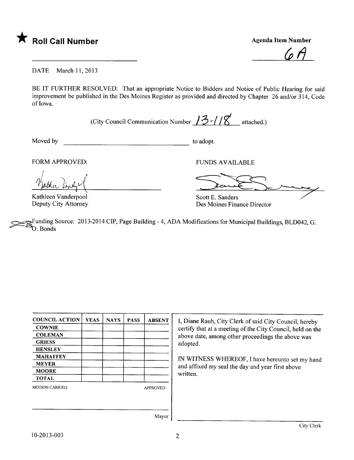

<u>(u 1 |</u>

DATE March 11, 2013

BE IT FURTHER RESOLVED: That an appropriate Notice to Bidders and Notice of Public Hearing for said improvement be published in the Des Moines Register as provided and directed by Chapter 26 and/or 314, Code of Iowa.

(City Council Communication Number  $13$  /  $18$  attached.)

Moved by to adopt.

FORM APPROVED:<br>
Mall<sub>in</sub> line<br>
Kathleen Vanderpool i poten liney

Example 1 (Kathleen Vanderpool Deputy City Attorney

Scott E. Sanders Des Moines Finance Director

~Funding Source: 2013-2014 CIP, Page Building - 4, ADA Modifications for Municipal Buildings, BLD042, G. O. Bonds

| <b>YEAS</b> | <b>NAYS</b> | <b>PASS</b> | <b>ABSENT</b>   |
|-------------|-------------|-------------|-----------------|
|             |             |             |                 |
|             |             |             |                 |
|             |             |             |                 |
|             |             |             |                 |
|             |             |             |                 |
|             |             |             |                 |
|             |             |             |                 |
|             |             |             |                 |
|             |             |             | <b>APPROVED</b> |
|             |             |             |                 |
|             |             |             |                 |
|             |             |             |                 |

I, Diane Rauh, City Clerk of said City Council, hereby certify that at a meeting of the City Council, held on the above date, among other proceedings the above was adopted.

IN WITNESS WHEREOF, I have hereunto set my hand and affixed my seal the day and year first above written.

Mayor